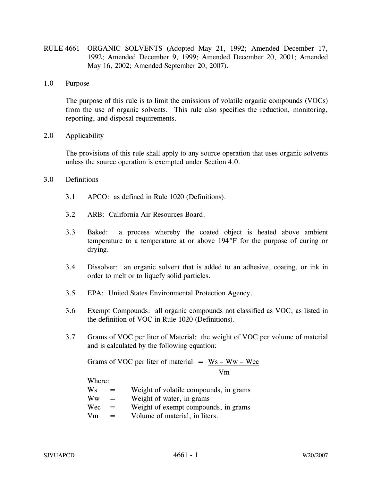- RULE 4661 ORGANIC SOLVENTS (Adopted May 21, 1992; Amended December 17, 1992; Amended December 9, 1999; Amended December 20, 2001; Amended May 16, 2002; Amended September 20, 2007).
- 1.0 Purpose

 The purpose of this rule is to limit the emissions of volatile organic compounds (VOCs) from the use of organic solvents. This rule also specifies the reduction, monitoring, reporting, and disposal requirements.

2.0 Applicability

 The provisions of this rule shall apply to any source operation that uses organic solvents unless the source operation is exempted under Section 4.0.

## 3.0 Definitions

- 3.1 APCO: as defined in Rule 1020 (Definitions).
- 3.2 ARB: California Air Resources Board.
- 3.3 Baked: a process whereby the coated object is heated above ambient temperature to a temperature at or above 194°F for the purpose of curing or drying.
- 3.4 Dissolver: an organic solvent that is added to an adhesive, coating, or ink in order to melt or to liquefy solid particles.
- 3.5 EPA: United States Environmental Protection Agency.
- 3.6 Exempt Compounds: all organic compounds not classified as VOC, as listed in the definition of VOC in Rule 1020 (Definitions).
- 3.7 Grams of VOC per liter of Material: the weight of VOC per volume of material and is calculated by the following equation:

Grams of VOC per liter of material  $=$  Ws – Ww – Wec

Vm

Where:

|  | Ws |  | Weight of volatile compounds, in grams |  |
|--|----|--|----------------------------------------|--|
|--|----|--|----------------------------------------|--|

- $\mathbf{W}\mathbf{w} = \mathbf{W}\mathbf{e}$  ight of water, in grams
- $Wec = Weight of exempt compounds, in grams$
- $Vm = Volume of material, in liters.$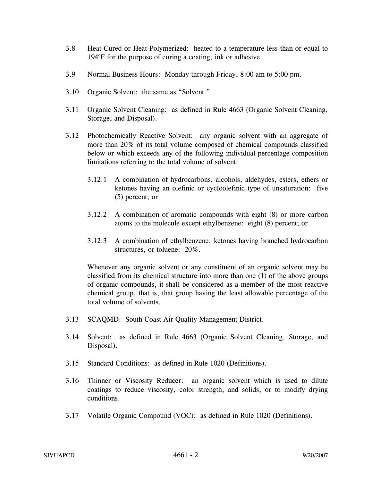- 3.8 Heat-Cured or Heat-Polymerized: heated to a temperature less than or equal to 194°F for the purpose of curing a coating, ink or adhesive.
- 3.9 Normal Business Hours: Monday through Friday, 8:00 am to 5:00 pm.
- 3.10 Organic Solvent: the same as "Solvent."
- 3.11 Organic Solvent Cleaning: as defined in Rule 4663 (Organic Solvent Cleaning, Storage, and Disposal).
- 3.12 Photochemically Reactive Solvent: any organic solvent with an aggregate of more than 20% of its total volume composed of chemical compounds classified below or which exceeds any of the following individual percentage composition limitations referring to the total volume of solvent:
	- 3.12.1 A combination of hydrocarbons, alcohols, aldehydes, esters, ethers or ketones having an olefinic or cycloolefinic type of unsaturation: five (5) percent; or
	- 3.12.2 A combination of aromatic compounds with eight (8) or more carbon atoms to the molecule except ethylbenzene: eight (8) percent; or
	- 3.12.3 A combination of ethylbenzene, ketones having branched hydrocarbon structures, or toluene: 20%.

Whenever any organic solvent or any constituent of an organic solvent may be classified from its chemical structure into more than one (1) of the above groups of organic compounds, it shall be considered as a member of the most reactive chemical group, that is, that group having the least allowable percentage of the total volume of solvents.

- 3.13 SCAQMD: South Coast Air Quality Management District.
- 3.14 Solvent: as defined in Rule 4663 (Organic Solvent Cleaning, Storage, and Disposal).
- 3.15 Standard Conditions: as defined in Rule 1020 (Definitions).
- 3.16 Thinner or Viscosity Reducer: an organic solvent which is used to dilute coatings to reduce viscosity, color strength, and solids, or to modify drying conditions.
- 3.17 Volatile Organic Compound (VOC): as defined in Rule 1020 (Definitions).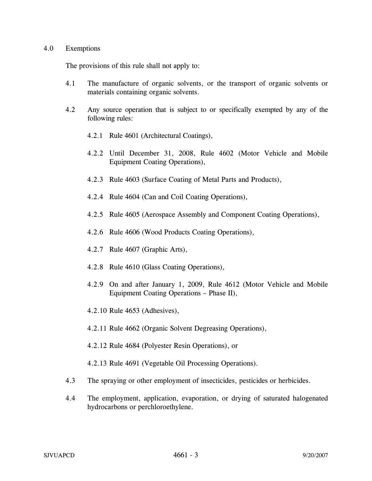## 4.0 Exemptions

The provisions of this rule shall not apply to:

- 4.1 The manufacture of organic solvents, or the transport of organic solvents or materials containing organic solvents.
- 4.2 Any source operation that is subject to or specifically exempted by any of the following rules:
	- 4.2.1 Rule 4601 (Architectural Coatings),
	- 4.2.2 Until December 31, 2008, Rule 4602 (Motor Vehicle and Mobile Equipment Coating Operations),
	- 4.2.3 Rule 4603 (Surface Coating of Metal Parts and Products),
	- 4.2.4 Rule 4604 (Can and Coil Coating Operations),
	- 4.2.5 Rule 4605 (Aerospace Assembly and Component Coating Operations),
	- 4.2.6 Rule 4606 (Wood Products Coating Operations),
	- 4.2.7 Rule 4607 (Graphic Arts),
	- 4.2.8 Rule 4610 (Glass Coating Operations),
	- 4.2.9 On and after January 1, 2009, Rule 4612 (Motor Vehicle and Mobile Equipment Coating Operations – Phase II),
	- 4.2.10 Rule 4653 (Adhesives),
	- 4.2.11 Rule 4662 (Organic Solvent Degreasing Operations),
	- 4.2.12 Rule 4684 (Polyester Resin Operations), or
	- 4.2.13 Rule 4691 (Vegetable Oil Processing Operations).
- 4.3 The spraying or other employment of insecticides, pesticides or herbicides.
- 4.4 The employment, application, evaporation, or drying of saturated halogenated hydrocarbons or perchloroethylene.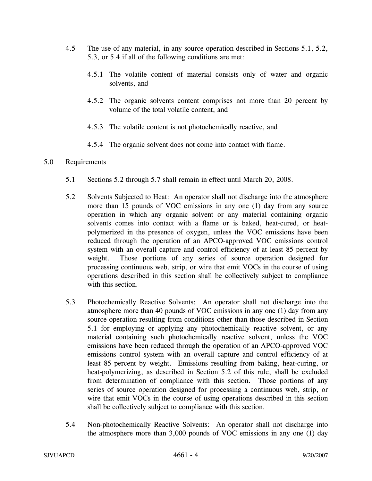- 4.5 The use of any material, in any source operation described in Sections 5.1, 5.2, 5.3, or 5.4 if all of the following conditions are met:
	- 4.5.1 The volatile content of material consists only of water and organic solvents, and
	- 4.5.2 The organic solvents content comprises not more than 20 percent by volume of the total volatile content, and
	- 4.5.3 The volatile content is not photochemically reactive, and
	- 4.5.4 The organic solvent does not come into contact with flame.

## 5.0 Requirements

- 5.1 Sections 5.2 through 5.7 shall remain in effect until March 20, 2008.
- 5.2 Solvents Subjected to Heat: An operator shall not discharge into the atmosphere more than 15 pounds of VOC emissions in any one (1) day from any source operation in which any organic solvent or any material containing organic solvents comes into contact with a flame or is baked, heat-cured, or heatpolymerized in the presence of oxygen, unless the VOC emissions have been reduced through the operation of an APCO-approved VOC emissions control system with an overall capture and control efficiency of at least 85 percent by weight. Those portions of any series of source operation designed for processing continuous web, strip, or wire that emit VOCs in the course of using operations described in this section shall be collectively subject to compliance with this section.
- 5.3 Photochemically Reactive Solvents: An operator shall not discharge into the atmosphere more than 40 pounds of VOC emissions in any one (1) day from any source operation resulting from conditions other than those described in Section 5.1 for employing or applying any photochemically reactive solvent, or any material containing such photochemically reactive solvent, unless the VOC emissions have been reduced through the operation of an APCO-approved VOC emissions control system with an overall capture and control efficiency of at least 85 percent by weight. Emissions resulting from baking, heat-curing, or heat-polymerizing, as described in Section 5.2 of this rule, shall be excluded from determination of compliance with this section. Those portions of any series of source operation designed for processing a continuous web, strip, or wire that emit VOCs in the course of using operations described in this section shall be collectively subject to compliance with this section.
- 5.4 Non-photochemically Reactive Solvents: An operator shall not discharge into the atmosphere more than 3,000 pounds of VOC emissions in any one (1) day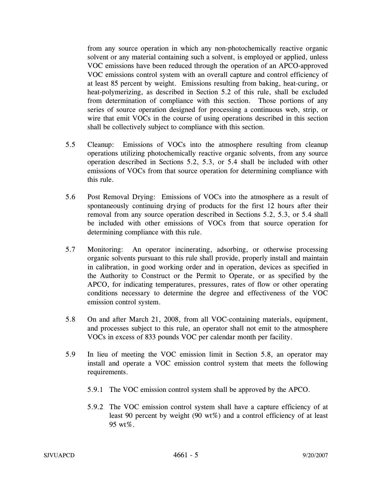from any source operation in which any non-photochemically reactive organic solvent or any material containing such a solvent, is employed or applied, unless VOC emissions have been reduced through the operation of an APCO-approved VOC emissions control system with an overall capture and control efficiency of at least 85 percent by weight. Emissions resulting from baking, heat-curing, or heat-polymerizing, as described in Section 5.2 of this rule, shall be excluded from determination of compliance with this section. Those portions of any series of source operation designed for processing a continuous web, strip, or wire that emit VOCs in the course of using operations described in this section shall be collectively subject to compliance with this section.

- 5.5 Cleanup: Emissions of VOCs into the atmosphere resulting from cleanup operations utilizing photochemically reactive organic solvents, from any source operation described in Sections 5.2, 5.3, or 5.4 shall be included with other emissions of VOCs from that source operation for determining compliance with this rule.
- 5.6 Post Removal Drying: Emissions of VOCs into the atmosphere as a result of spontaneously continuing drying of products for the first 12 hours after their removal from any source operation described in Sections 5.2, 5.3, or 5.4 shall be included with other emissions of VOCs from that source operation for determining compliance with this rule.
- 5.7 Monitoring: An operator incinerating, adsorbing, or otherwise processing organic solvents pursuant to this rule shall provide, properly install and maintain in calibration, in good working order and in operation, devices as specified in the Authority to Construct or the Permit to Operate, or as specified by the APCO, for indicating temperatures, pressures, rates of flow or other operating conditions necessary to determine the degree and effectiveness of the VOC emission control system.
- 5.8 On and after March 21, 2008, from all VOC-containing materials, equipment, and processes subject to this rule, an operator shall not emit to the atmosphere VOCs in excess of 833 pounds VOC per calendar month per facility.
- 5.9 In lieu of meeting the VOC emission limit in Section 5.8, an operator may install and operate a VOC emission control system that meets the following requirements.
	- 5.9.1 The VOC emission control system shall be approved by the APCO.
	- 5.9.2 The VOC emission control system shall have a capture efficiency of at least 90 percent by weight (90 wt%) and a control efficiency of at least 95 wt%.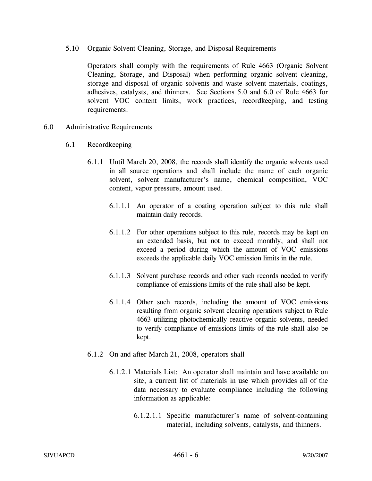5.10 Organic Solvent Cleaning, Storage, and Disposal Requirements

Operators shall comply with the requirements of Rule 4663 (Organic Solvent Cleaning, Storage, and Disposal) when performing organic solvent cleaning, storage and disposal of organic solvents and waste solvent materials, coatings, adhesives, catalysts, and thinners. See Sections 5.0 and 6.0 of Rule 4663 for solvent VOC content limits, work practices, recordkeeping, and testing requirements.

- 6.0 Administrative Requirements
	- 6.1 Recordkeeping
		- 6.1.1 Until March 20, 2008, the records shall identify the organic solvents used in all source operations and shall include the name of each organic solvent, solvent manufacturer's name, chemical composition, VOC content, vapor pressure, amount used.
			- 6.1.1.1 An operator of a coating operation subject to this rule shall maintain daily records.
			- 6.1.1.2 For other operations subject to this rule, records may be kept on an extended basis, but not to exceed monthly, and shall not exceed a period during which the amount of VOC emissions exceeds the applicable daily VOC emission limits in the rule.
			- 6.1.1.3 Solvent purchase records and other such records needed to verify compliance of emissions limits of the rule shall also be kept.
			- 6.1.1.4 Other such records, including the amount of VOC emissions resulting from organic solvent cleaning operations subject to Rule 4663 utilizing photochemically reactive organic solvents, needed to verify compliance of emissions limits of the rule shall also be kept.
		- 6.1.2 On and after March 21, 2008, operators shall
			- 6.1.2.1 Materials List: An operator shall maintain and have available on site, a current list of materials in use which provides all of the data necessary to evaluate compliance including the following information as applicable:
				- 6.1.2.1.1 Specific manufacturer's name of solvent-containing material, including solvents, catalysts, and thinners.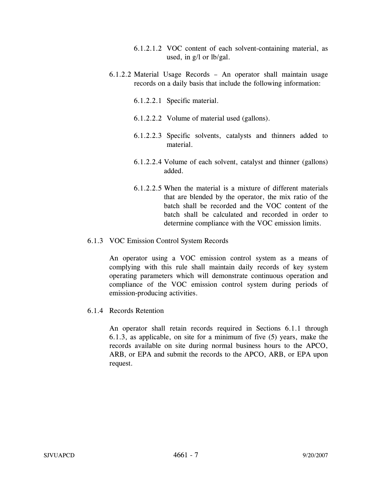- 6.1.2.1.2 VOC content of each solvent-containing material, as used, in g/l or lb/gal.
- 6.1.2.2 Material Usage Records An operator shall maintain usage records on a daily basis that include the following information:
	- 6.1.2.2.1 Specific material.
	- 6.1.2.2.2 Volume of material used (gallons).
	- 6.1.2.2.3 Specific solvents, catalysts and thinners added to material.
	- 6.1.2.2.4 Volume of each solvent, catalyst and thinner (gallons) added.
	- 6.1.2.2.5 When the material is a mixture of different materials that are blended by the operator, the mix ratio of the batch shall be recorded and the VOC content of the batch shall be calculated and recorded in order to determine compliance with the VOC emission limits.

## 6.1.3 VOC Emission Control System Records

An operator using a VOC emission control system as a means of complying with this rule shall maintain daily records of key system operating parameters which will demonstrate continuous operation and compliance of the VOC emission control system during periods of emission-producing activities.

6.1.4 Records Retention

An operator shall retain records required in Sections 6.1.1 through 6.1.3, as applicable, on site for a minimum of five (5) years, make the records available on site during normal business hours to the APCO, ARB, or EPA and submit the records to the APCO, ARB, or EPA upon request.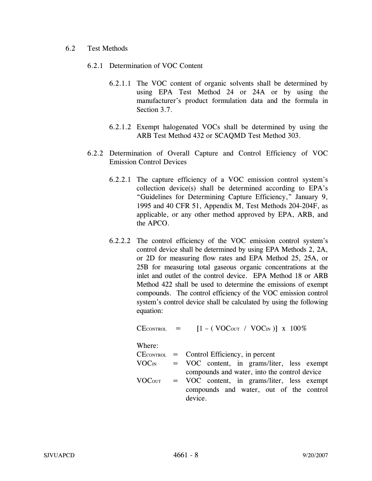## 6.2 Test Methods

- 6.2.1 Determination of VOC Content
	- 6.2.1.1 The VOC content of organic solvents shall be determined by using EPA Test Method 24 or 24A or by using the manufacturer's product formulation data and the formula in Section 3.7.
	- 6.2.1.2 Exempt halogenated VOCs shall be determined by using the ARB Test Method 432 or SCAQMD Test Method 303.
- 6.2.2 Determination of Overall Capture and Control Efficiency of VOC Emission Control Devices
	- 6.2.2.1 The capture efficiency of a VOC emission control system's collection device(s) shall be determined according to EPA's "Guidelines for Determining Capture Efficiency," January 9, 1995 and 40 CFR 51, Appendix M, Test Methods 204-204F, as applicable, or any other method approved by EPA, ARB, and the APCO.
	- 6.2.2.2 The control efficiency of the VOC emission control system's control device shall be determined by using EPA Methods 2, 2A, or 2D for measuring flow rates and EPA Method 25, 25A, or 25B for measuring total gaseous organic concentrations at the inlet and outlet of the control device. EPA Method 18 or ARB Method 422 shall be used to determine the emissions of exempt compounds. The control efficiency of the VOC emission control system's control device shall be calculated by using the following equation:

 $CE$ CONTROL =  $[1 - (VOC<sub>OUT</sub> / VOC<sub>IN</sub>)] x 100\%$ 

Where:

|                    | $CE$ CONTROL = Control Efficiency, in percent       |
|--------------------|-----------------------------------------------------|
| $\rm VOC_{\rm IN}$ | = VOC content, in grams/liter, less exempt          |
|                    | compounds and water, into the control device        |
|                    | $VOCOUT = VOC content, in grams/liter, less exempt$ |
|                    | compounds and water, out of the control             |
|                    | device.                                             |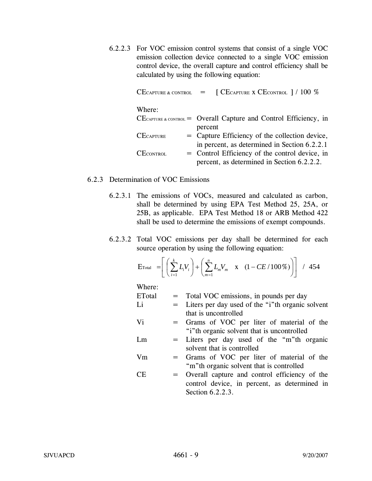6.2.2.3 For VOC emission control systems that consist of a single VOC emission collection device connected to a single VOC emission control device, the overall capture and control efficiency shall be calculated by using the following equation:

|                  |  | CECAPTURE & CONTROL $\qquad = \qquad$ [ CECAPTURE X CECONTROL ] / 100 % |
|------------------|--|-------------------------------------------------------------------------|
| Where:           |  |                                                                         |
|                  |  | $CE$ CAPTURE & CONTROL = Overall Capture and Control Efficiency, in     |
|                  |  | percent                                                                 |
| <b>CECAPTURE</b> |  | = Capture Efficiency of the collection device,                          |
|                  |  | in percent, as determined in Section 6.2.2.1                            |
| $CE$ CONTROL     |  | = Control Efficiency of the control device, in                          |
|                  |  | percent, as determined in Section 6.2.2.2.                              |

## 6.2.3 Determination of VOC Emissions

- 6.2.3.1 The emissions of VOCs, measured and calculated as carbon, shall be determined by using EPA Test Method 25, 25A, or 25B, as applicable. EPA Test Method 18 or ARB Method 422 shall be used to determine the emissions of exempt compounds.
- 6.2.3.2 Total VOC emissions per day shall be determined for each source operation by using the following equation:

$$
\text{E}_{\text{Total}} = \left[ \left( \sum_{i=1}^{k} L_i V_i \right) + \left( \sum_{m=1}^{n} L_m V_m \quad \text{x} \quad (1 - CE / 100\%) \right) \right] / 454
$$

Where:

| ETotal |     | = Total VOC emissions, in pounds per day         |
|--------|-----|--------------------------------------------------|
| Li     | $=$ | Liters per day used of the "i"th organic solvent |
|        |     | that is uncontrolled                             |
| Vi     | $=$ | Grams of VOC per liter of material of the        |
|        |     | "i" the organic solvent that is uncontrolled     |
| Lm     |     | = Liters per day used of the "m"th organic       |
|        |     | solvent that is controlled                       |
| Vm     | $=$ | Grams of VOC per liter of material of the        |
|        |     | "m" the organic solvent that is controlled       |
| CЕ     | $=$ | Overall capture and control efficiency of the    |
|        |     | control device, in percent, as determined in     |
|        |     | Section 6.2.2.3.                                 |